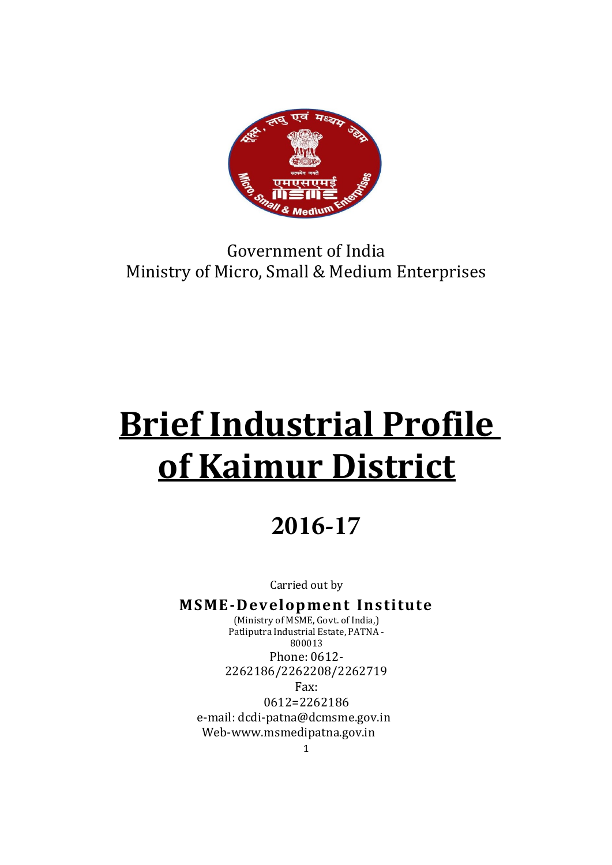

# Government of India Ministry of Micro, Small & Medium Enterprises

# Brief Industrial Profile of Kaimur District

# **2016-17**

Carried out by

MSME-Development Institute (Ministry of MSME, Govt. of India,) Patliputra Industrial Estate, PATNA - 800013 Phone: 0612- 2262186/2262208/2262719 Fax: 0612=2262186 e-mail: dcdi-patna@dcmsme.gov.in Web-www.msmedipatna.gov.in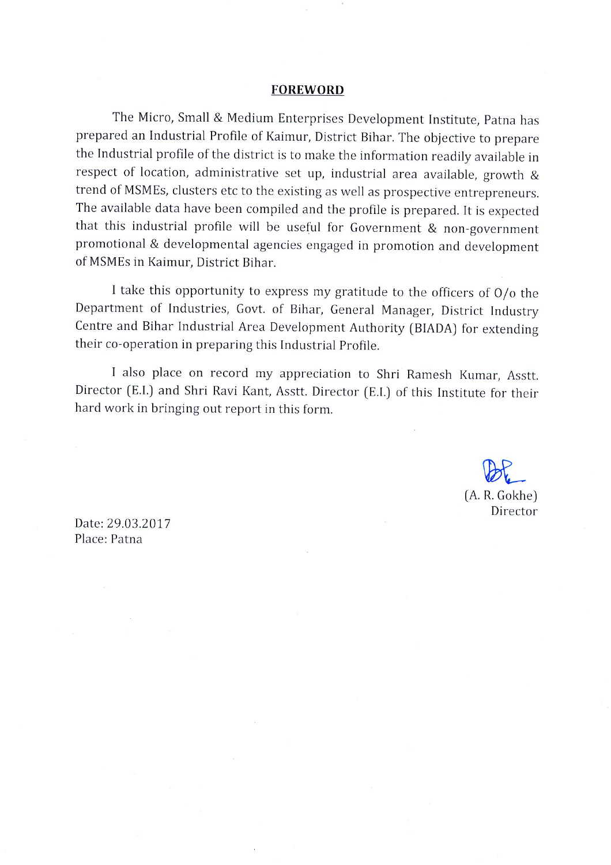#### **FOREWORD**

The Micro, Small & Medium Enterprises Development Institute, Patna has prepared an Industrial Profile of Kaimur, District Bihar. The objective to prepare the Industrial profile of the district is to make the information readily available in respect of location, administrative set up, industrial area available, growth & trend of MSMEs, clusters etc to the existing as well as prospective entrepreneurs. The available data have been compiled and the profile is prepared. It is expected that this industrial profile will be useful for Government & non-government promotional & developmental agencies engaged in promotion and development of MSMEs in Kaimur, District Bihar.

I take this opportunity to express my gratitude to the officers of  $O/O$  the Department of Industries, Govt. of Bihar, General Manager, District Industry Centre and Bihar Industrial Area Development Authority (BIADA) for extending their co-operation in preparing this Industrial Profile.

I also place on record my appreciation to Shri Ramesh Kumar, Asstt. Director (E.I.) and Shri Ravi Kant, Asstt. Director (E.I.) of this Institute for their hard work in bringing out report in this form.

> $(A. R. Gokhe)$ Director

Date: 29.03.2017 Place: Patna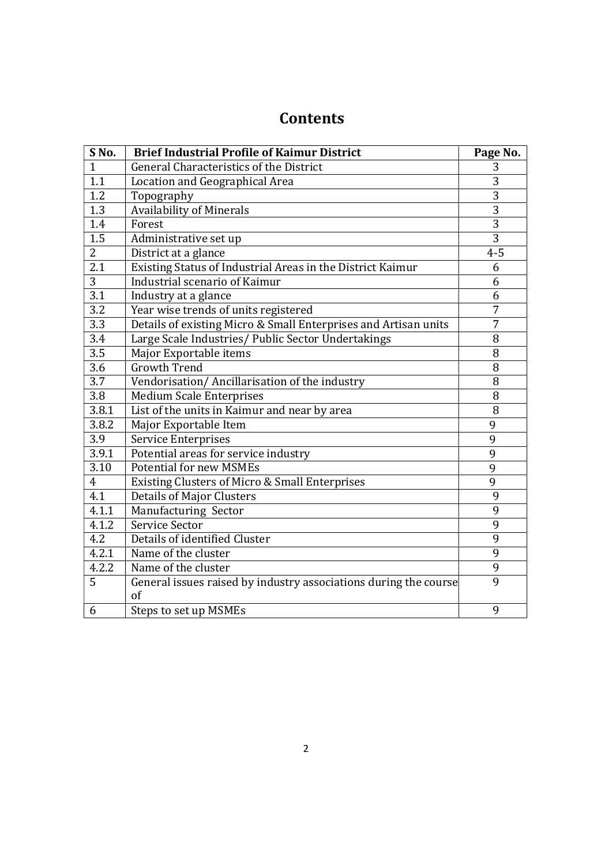# **Contents**

| SNo.             | <b>Brief Industrial Profile of Kaimur District</b>               | Page No.       |
|------------------|------------------------------------------------------------------|----------------|
| $\mathbf{1}$     | General Characteristics of the District                          | 3              |
| 1.1              | Location and Geographical Area                                   | 3              |
| 1.2              | Topography                                                       | $\overline{3}$ |
| 1.3              | <b>Availability of Minerals</b>                                  | $\overline{3}$ |
| 1.4              | Forest                                                           | $\overline{3}$ |
| $\overline{1.5}$ | Administrative set up                                            | $\overline{3}$ |
| $\overline{2}$   | District at a glance                                             | $4 - 5$        |
| 2.1              | Existing Status of Industrial Areas in the District Kaimur       | 6              |
| $\overline{3}$   | Industrial scenario of Kaimur                                    | 6              |
| 3.1              | Industry at a glance                                             | 6              |
| 3.2              | Year wise trends of units registered                             | 7              |
| 3.3              | Details of existing Micro & Small Enterprises and Artisan units  | 7              |
| $\overline{3.4}$ | Large Scale Industries/ Public Sector Undertakings               | 8              |
| 3.5              | Major Exportable items                                           | 8              |
| 3.6              | <b>Growth Trend</b>                                              | 8              |
| $\overline{3.7}$ | Vendorisation/Ancillarisation of the industry                    | 8              |
| 3.8              | <b>Medium Scale Enterprises</b>                                  | 8              |
| 3.8.1            | List of the units in Kaimur and near by area                     | 8              |
| 3.8.2            | Major Exportable Item                                            | 9              |
| 3.9              | <b>Service Enterprises</b>                                       | 9              |
| 3.9.1            | Potential areas for service industry                             | 9              |
| 3.10             | <b>Potential for new MSMEs</b>                                   | 9              |
| 4                | <b>Existing Clusters of Micro &amp; Small Enterprises</b>        | 9              |
| 4.1              | <b>Details of Major Clusters</b>                                 | 9              |
| 4.1.1            | Manufacturing Sector                                             | 9              |
| 4.1.2            | Service Sector                                                   | 9              |
| 4.2              | Details of identified Cluster                                    | 9              |
| 4.2.1            | Name of the cluster                                              | 9              |
| 4.2.2            | Name of the cluster                                              | 9              |
| 5                | General issues raised by industry associations during the course | 9              |
|                  | of                                                               |                |
| 6                | Steps to set up MSMEs                                            | 9              |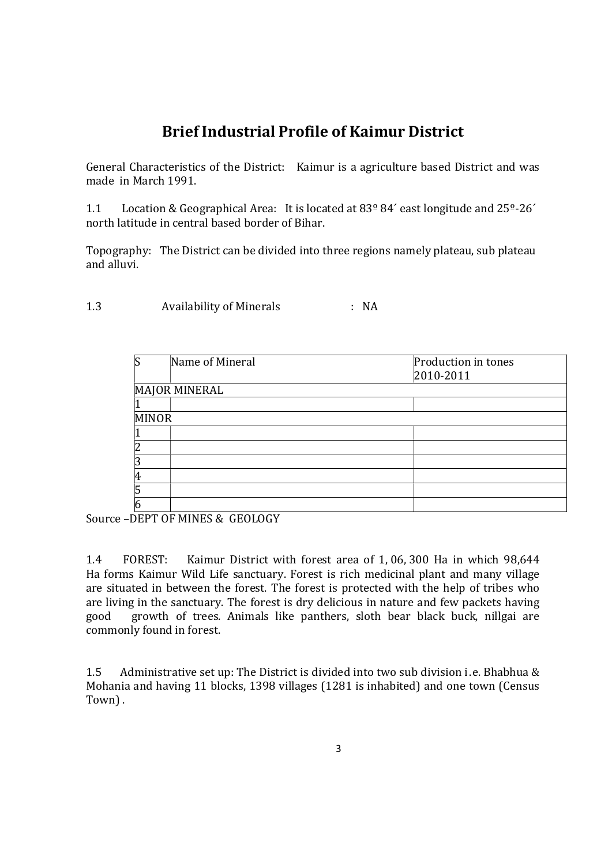# Brief Industrial Profile of Kaimur District

General Characteristics of the District: Kaimur is a agriculture based District and was made in March 1991.

1.1 Location & Geographical Area: It is located at 83º 84´ east longitude and 25º-26´ north latitude in central based border of Bihar.

Topography: The District can be divided into three regions namely plateau, sub plateau and alluvi.

1.3 Availability of Minerals : NA

|              | Name of Mineral      | Production in tones |
|--------------|----------------------|---------------------|
|              |                      | 2010-2011           |
|              | <b>MAJOR MINERAL</b> |                     |
|              |                      |                     |
| <b>MINOR</b> |                      |                     |
|              |                      |                     |
|              |                      |                     |
|              |                      |                     |
|              |                      |                     |
|              |                      |                     |
|              |                      |                     |

Source –DEPT OF MINES & GEOLOGY

1.4 FOREST: Kaimur District with forest area of 1, 06, 300 Ha in which 98,644 Ha forms Kaimur Wild Life sanctuary. Forest is rich medicinal plant and many village are situated in between the forest. The forest is protected with the help of tribes who are living in the sanctuary. The forest is dry delicious in nature and few packets having good growth of trees. Animals like panthers, sloth bear black buck, nillgai are commonly found in forest.

1.5 Administrative set up: The District is divided into two sub division i.e. Bhabhua & Mohania and having 11 blocks, 1398 villages (1281 is inhabited) and one town (Census Town) .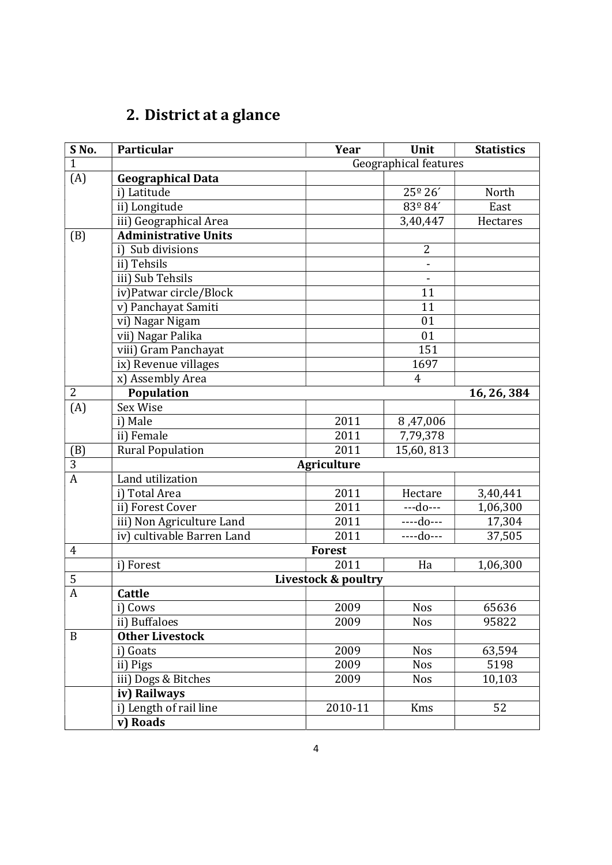# 2. District at a glance

| SNo.           | Particular                  | Year                | Unit            | <b>Statistics</b> |  |
|----------------|-----------------------------|---------------------|-----------------|-------------------|--|
| $\mathbf{1}$   | Geographical features       |                     |                 |                   |  |
| (A)            | <b>Geographical Data</b>    |                     |                 |                   |  |
|                | i) Latitude                 |                     | 25° 26'         | North             |  |
|                | ii) Longitude               |                     | $83^{\circ}84'$ | East              |  |
|                | iii) Geographical Area      |                     | 3,40,447        | Hectares          |  |
| (B)            | <b>Administrative Units</b> |                     |                 |                   |  |
|                | i) Sub divisions            |                     | $\overline{2}$  |                   |  |
|                | ii) Tehsils                 |                     |                 |                   |  |
|                | iii) Sub Tehsils            |                     | $\blacksquare$  |                   |  |
|                | iv)Patwar circle/Block      |                     | 11              |                   |  |
|                | v) Panchayat Samiti         |                     | 11              |                   |  |
|                | vi) Nagar Nigam             |                     | 01              |                   |  |
|                | vii) Nagar Palika           |                     | 01              |                   |  |
|                | viii) Gram Panchayat        |                     | 151             |                   |  |
|                | ix) Revenue villages        |                     | 1697            |                   |  |
|                | x) Assembly Area            |                     | $\overline{4}$  |                   |  |
| $\overline{2}$ | Population                  |                     |                 | 16, 26, 384       |  |
| (A)            | Sex Wise                    |                     |                 |                   |  |
|                | i) Male                     | 2011                | 8,47,006        |                   |  |
|                | ii) Female                  | 2011                | 7,79,378        |                   |  |
| (B)            | <b>Rural Population</b>     | 2011                | 15,60,813       |                   |  |
| 3              |                             | <b>Agriculture</b>  |                 |                   |  |
| $\overline{A}$ | Land utilization            |                     |                 |                   |  |
|                | i) Total Area               | 2011                | Hectare         | 3,40,441          |  |
|                | ii) Forest Cover            | 2011                | $- -$ do $- -$  | 1,06,300          |  |
|                | iii) Non Agriculture Land   | 2011                | ----do---       | 17,304            |  |
|                | iv) cultivable Barren Land  | 2011                | ----do---       | 37,505            |  |
| $\overline{4}$ |                             | <b>Forest</b>       |                 |                   |  |
|                | i) Forest                   | 2011                | Ha              | 1,06,300          |  |
| $\mathbf 5$    |                             | Livestock & poultry |                 |                   |  |
| $\mathbf{A}$   | <b>Cattle</b>               |                     |                 |                   |  |
|                | i) Cows                     | 2009                | <b>Nos</b>      | 65636             |  |
|                | ii) Buffaloes               | 2009                | <b>Nos</b>      | 95822             |  |
| B              | <b>Other Livestock</b>      |                     |                 |                   |  |
|                | i) Goats                    | 2009                | <b>Nos</b>      | 63,594            |  |
|                | ii) Pigs                    | 2009                | <b>Nos</b>      | 5198              |  |
|                | iii) Dogs & Bitches         | 2009                | <b>Nos</b>      | 10,103            |  |
|                | iv) Railways                |                     |                 |                   |  |
|                | i) Length of rail line      | 2010-11             | Kms             | 52                |  |
|                | v) Roads                    |                     |                 |                   |  |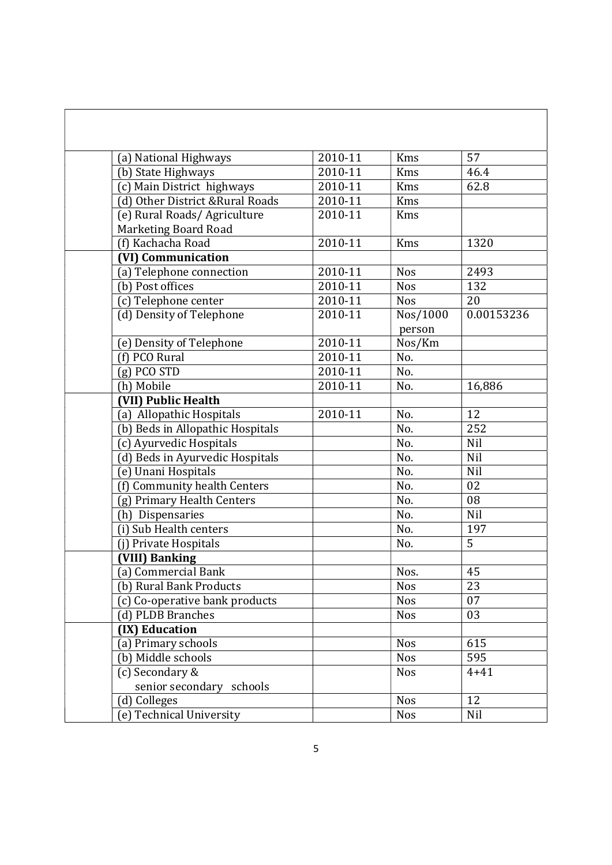| (a) National Highways                               | 2010-11     | <b>Kms</b> | 57             |
|-----------------------------------------------------|-------------|------------|----------------|
| (b) State Highways                                  | 2010-11     | <b>Kms</b> | 46.4           |
| (c) Main District highways                          | 2010-11     | <b>Kms</b> | 62.8           |
| (d) Other District & Rural Roads                    | 2010-11     | Kms        |                |
| (e) Rural Roads/ Agriculture                        | 2010-11     | Kms        |                |
| <b>Marketing Board Road</b>                         |             |            |                |
| (f) Kachacha Road                                   | 2010-11     | <b>Kms</b> | 1320           |
| (VI) Communication                                  |             |            |                |
| (a) Telephone connection                            | 2010-11     | <b>Nos</b> | 2493           |
| (b) Post offices                                    | 2010-11     | <b>Nos</b> | 132            |
| (c) Telephone center                                | 2010-11     | <b>Nos</b> | 20             |
| (d) Density of Telephone                            | 2010-11     | Nos/1000   | 0.00153236     |
|                                                     |             | person     |                |
| (e) Density of Telephone                            | 2010-11     | Nos/Km     |                |
| (f) PCO Rural                                       | 2010-11     | No.        |                |
| $(g)$ PCO STD                                       | $2010 - 11$ | No.        |                |
| (h) Mobile                                          | 2010-11     | No.        | 16,886         |
| (VII) Public Health                                 |             |            |                |
| (a) Allopathic Hospitals                            | $2010 - 11$ | No.        | 12             |
| (b) Beds in Allopathic Hospitals                    |             | No.        | 252            |
| (c) Ayurvedic Hospitals                             |             | No.        | Nil            |
| (d) Beds in Ayurvedic Hospitals                     |             | No.        | Nil            |
|                                                     |             | No.        | Nil            |
| (e) Unani Hospitals<br>(f) Community health Centers |             | No.        | 02             |
|                                                     |             |            |                |
| (g) Primary Health Centers                          |             | No.        | 08<br>Nil      |
| (h) Dispensaries                                    |             | No.        | 197            |
| (i) Sub Health centers                              |             | No.        | $\overline{5}$ |
| (j) Private Hospitals                               |             | No.        |                |
| (VIII) Banking                                      |             |            |                |
| (a) Commercial Bank                                 |             | Nos.       | 45             |
| (b) Rural Bank Products                             |             | Nos        | 23             |
| (c) Co-operative bank products                      |             | <b>Nos</b> | 07             |
| (d) PLDB Branches                                   |             | <b>Nos</b> | 03             |
| (IX) Education                                      |             |            |                |
| (a) Primary schools                                 |             | <b>Nos</b> | 615            |
| (b) Middle schools                                  |             | <b>Nos</b> | 595            |
| (c) Secondary &                                     |             | <b>Nos</b> | $4 + 41$       |
| senior secondary schools                            |             |            |                |
| (d) Colleges                                        |             | <b>Nos</b> | 12             |
| (e) Technical University                            |             | <b>Nos</b> | Nil            |

ľ

 $\overline{\phantom{a}}$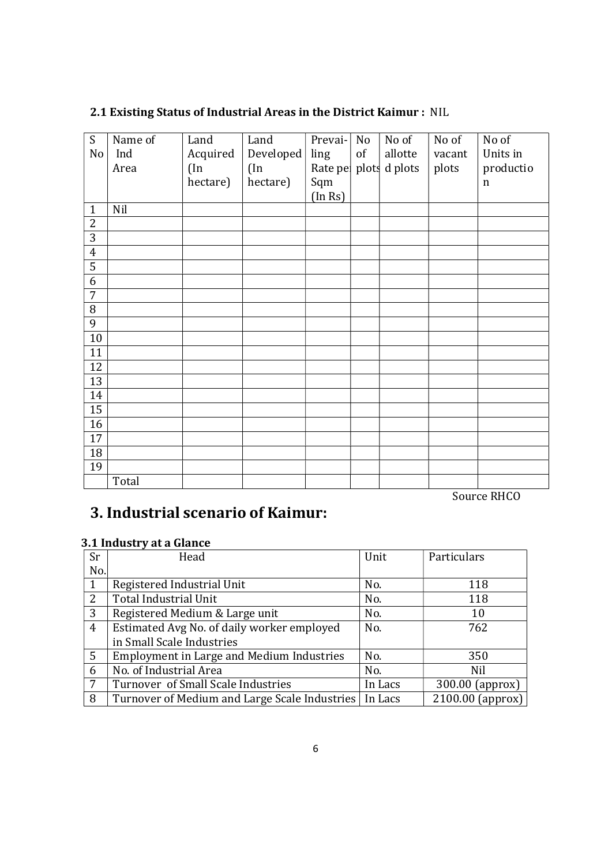| S              | Name of | Land     | Land      | Prevai- | N <sub>o</sub> | No of                 | No of  | No of       |
|----------------|---------|----------|-----------|---------|----------------|-----------------------|--------|-------------|
| No             | Ind     | Acquired | Developed | ling    | of             | allotte               | vacant | Units in    |
|                | Area    | $($ In   | $(\ln$    |         |                | Rate pe plots d plots | plots  | productio   |
|                |         | hectare) | hectare)  | Sqm     |                |                       |        | $\mathbf n$ |
|                |         |          |           | (In Rs) |                |                       |        |             |
| $\mathbf{1}$   | Nil     |          |           |         |                |                       |        |             |
| 2              |         |          |           |         |                |                       |        |             |
| $\overline{3}$ |         |          |           |         |                |                       |        |             |
| $\overline{4}$ |         |          |           |         |                |                       |        |             |
| $\overline{5}$ |         |          |           |         |                |                       |        |             |
| 6              |         |          |           |         |                |                       |        |             |
| $\overline{7}$ |         |          |           |         |                |                       |        |             |
| 8              |         |          |           |         |                |                       |        |             |
| 9              |         |          |           |         |                |                       |        |             |
| 10             |         |          |           |         |                |                       |        |             |
| 11             |         |          |           |         |                |                       |        |             |
| 12             |         |          |           |         |                |                       |        |             |
| 13             |         |          |           |         |                |                       |        |             |
| 14             |         |          |           |         |                |                       |        |             |
| 15             |         |          |           |         |                |                       |        |             |
| 16             |         |          |           |         |                |                       |        |             |
| 17             |         |          |           |         |                |                       |        |             |
| 18             |         |          |           |         |                |                       |        |             |
| 19             |         |          |           |         |                |                       |        |             |
|                | Total   |          |           |         |                |                       |        |             |

#### 2.1 Existing Status of Industrial Areas in the District Kaimur : NIL

Source RHCO

# 3. Industrial scenario of Kaimur:

#### 3.1 Industry at a Glance

| <b>Sr</b>       | Head                                          | Unit    | Particulars      |
|-----------------|-----------------------------------------------|---------|------------------|
| No.             |                                               |         |                  |
| 1               | Registered Industrial Unit                    | No.     | 118              |
| 2               | Total Industrial Unit                         | No.     | 118              |
| 3               | Registered Medium & Large unit                | No.     | 10               |
| $\overline{4}$  | Estimated Avg No. of daily worker employed    | No.     | 762              |
|                 | in Small Scale Industries                     |         |                  |
| 5               | Employment in Large and Medium Industries     | No.     | 350              |
| 6               | No. of Industrial Area                        | No.     | <b>Nil</b>       |
| $7\overline{ }$ | Turnover of Small Scale Industries            | In Lacs | 300.00 (approx)  |
| 8               | Turnover of Medium and Large Scale Industries | In Lacs | 2100.00 (approx) |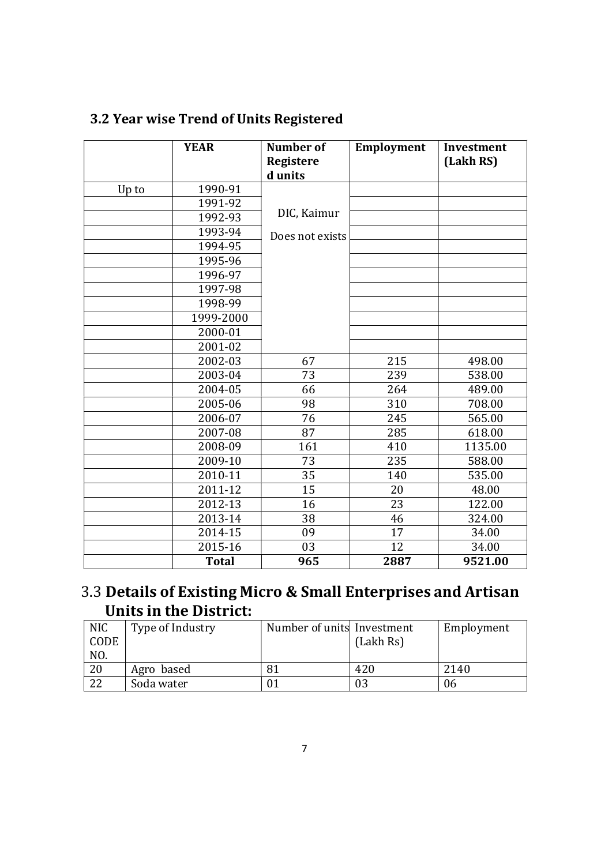|       | <b>YEAR</b>  | Number of<br><b>Registere</b><br>d units | Employment | Investment<br>(Lakh RS) |
|-------|--------------|------------------------------------------|------------|-------------------------|
| Up to | 1990-91      |                                          |            |                         |
|       | 1991-92      |                                          |            |                         |
|       | 1992-93      | DIC, Kaimur                              |            |                         |
|       | 1993-94      | Does not exists                          |            |                         |
|       | 1994-95      |                                          |            |                         |
|       | 1995-96      |                                          |            |                         |
|       | 1996-97      |                                          |            |                         |
|       | 1997-98      |                                          |            |                         |
|       | 1998-99      |                                          |            |                         |
|       | 1999-2000    |                                          |            |                         |
|       | 2000-01      |                                          |            |                         |
|       | 2001-02      |                                          |            |                         |
|       | 2002-03      | 67                                       | 215        | 498.00                  |
|       | 2003-04      | 73                                       | 239        | 538.00                  |
|       | 2004-05      | 66                                       | 264        | 489.00                  |
|       | 2005-06      | 98                                       | 310        | 708.00                  |
|       | 2006-07      | $\overline{76}$                          | 245        | 565.00                  |
|       | 2007-08      | 87                                       | 285        | 618.00                  |
|       | 2008-09      | 161                                      | 410        | 1135.00                 |
|       | 2009-10      | 73                                       | 235        | 588.00                  |
|       | 2010-11      | $\overline{35}$                          | 140        | 535.00                  |
|       | 2011-12      | 15                                       | 20         | 48.00                   |
|       | 2012-13      | 16                                       | 23         | 122.00                  |
|       | 2013-14      | 38                                       | 46         | 324.00                  |
|       | 2014-15      | 09                                       | 17         | 34.00                   |
|       | 2015-16      | 03                                       | 12         | 34.00                   |
|       | <b>Total</b> | 965                                      | 2887       | 9521.00                 |

# 3.2 Year wise Trend of Units Registered

## 3.3 Details of Existing Micro & Small Enterprises and Artisan Units in the District:

| <b>NIC</b><br>CODE<br>NO. | Type of Industry | Number of units Investment | (Lakh Rs) | Employment |
|---------------------------|------------------|----------------------------|-----------|------------|
| 20                        | Agro based       |                            | 420       | 2140       |
| 22                        | Soda water       |                            |           | 06         |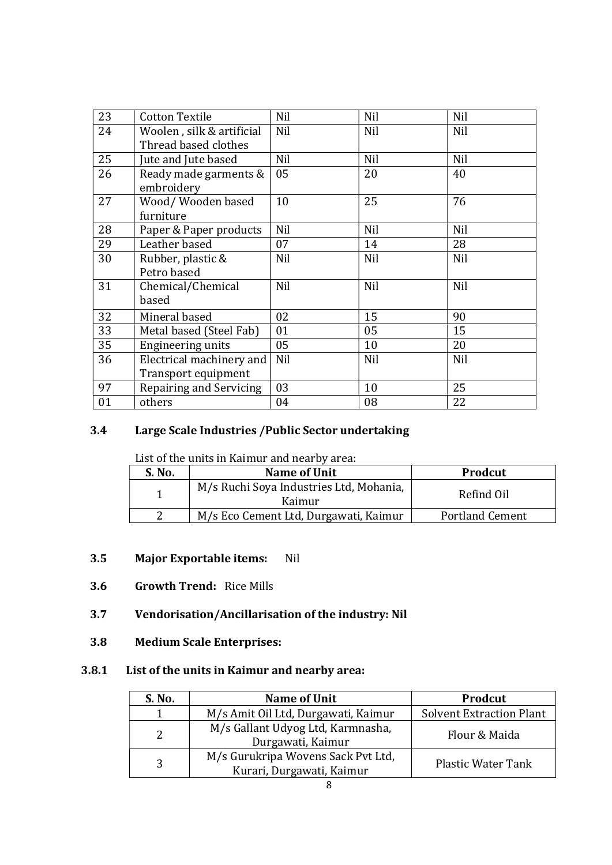| 23 | <b>Cotton Textile</b>     | Nil | Nil | Nil        |
|----|---------------------------|-----|-----|------------|
| 24 | Woolen, silk & artificial | Nil | Nil | Nil        |
|    | Thread based clothes      |     |     |            |
| 25 | Jute and Jute based       | Nil | Nil | <b>Nil</b> |
| 26 | Ready made garments &     | 05  | 20  | 40         |
|    | embroidery                |     |     |            |
| 27 | Wood/ Wooden based        | 10  | 25  | 76         |
|    | furniture                 |     |     |            |
| 28 | Paper & Paper products    | Nil | Nil | <b>Nil</b> |
| 29 | Leather based             | 07  | 14  | 28         |
| 30 | Rubber, plastic &         | Nil | Nil | Nil        |
|    | Petro based               |     |     |            |
| 31 | Chemical/Chemical         | Nil | Nil | <b>Nil</b> |
|    | based                     |     |     |            |
| 32 | Mineral based             | 02  | 15  | 90         |
| 33 | Metal based (Steel Fab)   | 01  | 05  | 15         |
| 35 | Engineering units         | 05  | 10  | 20         |
| 36 | Electrical machinery and  | Nil | Nil | <b>Nil</b> |
|    | Transport equipment       |     |     |            |
| 97 | Repairing and Servicing   | 03  | 10  | 25         |
| 01 | others                    | 04  | 08  | 22         |

#### 3.4 Large Scale Industries /Public Sector undertaking

List of the units in Kaimur and nearby area:

| S. No. | Name of Unit                                      | Prodcut                |
|--------|---------------------------------------------------|------------------------|
|        | M/s Ruchi Soya Industries Ltd, Mohania,<br>Kaimur | Refind Oil             |
|        | M/s Eco Cement Ltd, Durgawati, Kaimur             | <b>Portland Cement</b> |

#### 3.5 Major Exportable items: Nil

3.6 Growth Trend: Rice Mills

#### 3.7 Vendorisation/Ancillarisation of the industry: Nil

3.8 Medium Scale Enterprises:

#### 3.8.1 List of the units in Kaimur and nearby area:

| S. No. | Name of Unit                                                    | Prodcut                         |
|--------|-----------------------------------------------------------------|---------------------------------|
|        | M/s Amit Oil Ltd, Durgawati, Kaimur                             | <b>Solvent Extraction Plant</b> |
|        | M/s Gallant Udyog Ltd, Karmnasha,<br>Durgawati, Kaimur          | Flour & Maida                   |
| 3      | M/s Gurukripa Wovens Sack Pvt Ltd,<br>Kurari, Durgawati, Kaimur | <b>Plastic Water Tank</b>       |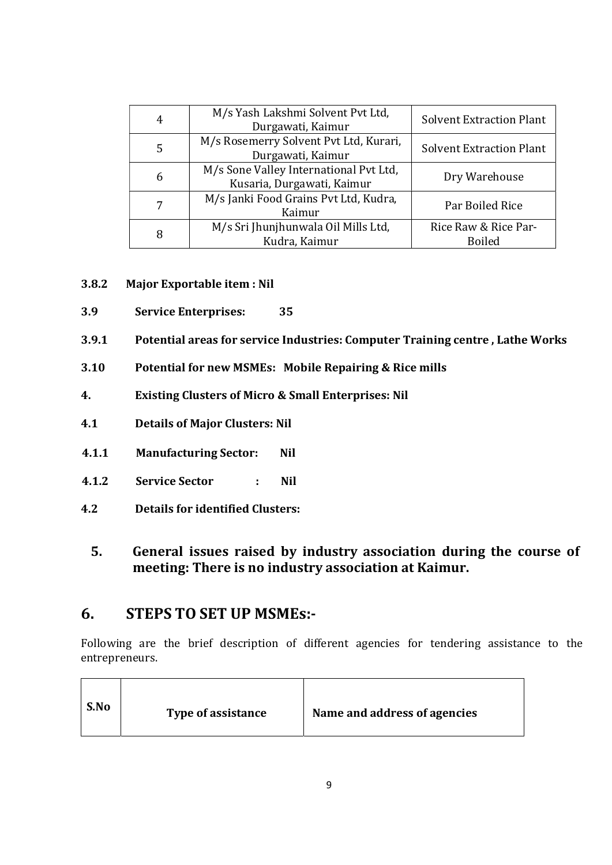| 4 | M/s Yash Lakshmi Solvent Pvt Ltd,<br>Durgawati, Kaimur               | <b>Solvent Extraction Plant</b>       |
|---|----------------------------------------------------------------------|---------------------------------------|
| 5 | M/s Rosemerry Solvent Pvt Ltd, Kurari,<br>Durgawati, Kaimur          | <b>Solvent Extraction Plant</b>       |
| 6 | M/s Sone Valley International Pvt Ltd,<br>Kusaria, Durgawati, Kaimur | Dry Warehouse                         |
|   | M/s Janki Food Grains Pvt Ltd, Kudra,<br>Kaimur                      | Par Boiled Rice                       |
| 8 | M/s Sri Jhunjhunwala Oil Mills Ltd,<br>Kudra, Kaimur                 | Rice Raw & Rice Par-<br><b>Boiled</b> |

- 3.8.2 Major Exportable item : Nil
- 3.9 Service Enterprises: 35
- 3.9.1 Potential areas for service Industries: Computer Training centre , Lathe Works
- 3.10 Potential for new MSMEs: Mobile Repairing & Rice mills
- 4. Existing Clusters of Micro & Small Enterprises: Nil
- 4.1 Details of Major Clusters: Nil
- 4.1.1 Manufacturing Sector: Nil
- 4.1.2 Service Sector : Nil
- 4.2 Details for identified Clusters:
	- 5. General issues raised by industry association during the course of meeting: There is no industry association at Kaimur.

#### 6. STEPS TO SET UP MSMEs:-

Following are the brief description of different agencies for tendering assistance to the entrepreneurs.

| S.No | Type of assistance | Name and address of agencies |
|------|--------------------|------------------------------|
|------|--------------------|------------------------------|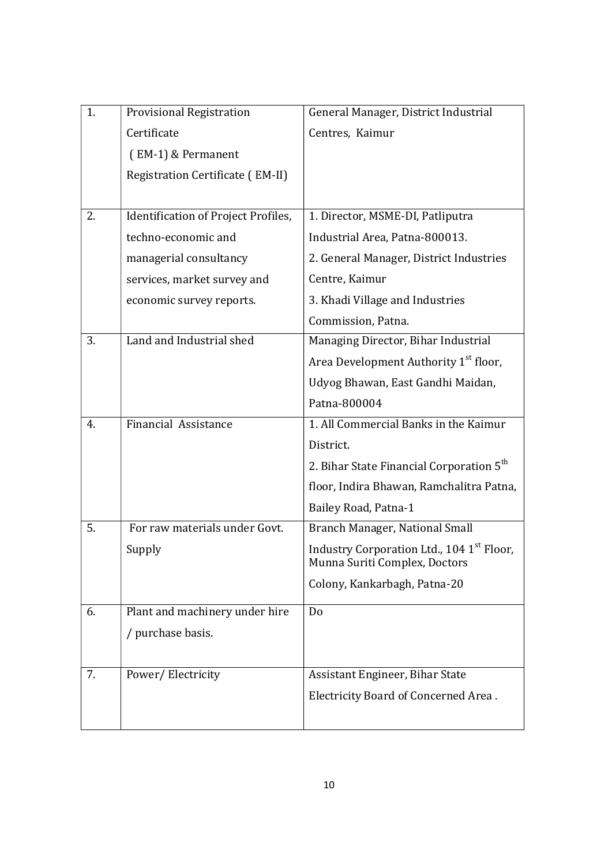| 1. | <b>Provisional Registration</b>     | General Manager, District Industrial                                       |
|----|-------------------------------------|----------------------------------------------------------------------------|
|    | Certificate                         | Centres, Kaimur                                                            |
|    | (EM-1) & Permanent                  |                                                                            |
|    | Registration Certificate (EM-II)    |                                                                            |
|    |                                     |                                                                            |
| 2. | Identification of Project Profiles, | 1. Director, MSME-DI, Patliputra                                           |
|    | techno-economic and                 | Industrial Area, Patna-800013.                                             |
|    | managerial consultancy              | 2. General Manager, District Industries                                    |
|    | services, market survey and         | Centre, Kaimur                                                             |
|    | economic survey reports.            | 3. Khadi Village and Industries                                            |
|    |                                     | Commission, Patna.                                                         |
| 3. | Land and Industrial shed            | Managing Director, Bihar Industrial                                        |
|    |                                     | Area Development Authority 1 <sup>st</sup> floor,                          |
|    |                                     | Udyog Bhawan, East Gandhi Maidan,                                          |
|    |                                     | Patna-800004                                                               |
| 4. | <b>Financial Assistance</b>         | 1. All Commercial Banks in the Kaimur                                      |
|    |                                     | District.                                                                  |
|    |                                     | 2. Bihar State Financial Corporation 5 <sup>th</sup>                       |
|    |                                     | floor, Indira Bhawan, Ramchalitra Patna,                                   |
|    |                                     | Bailey Road, Patna-1                                                       |
| 5. | For raw materials under Govt.       | Branch Manager, National Small                                             |
|    | Supply                              | Industry Corporation Ltd., 104 1st Floor,<br>Munna Suriti Complex, Doctors |
|    |                                     | Colony, Kankarbagh, Patna-20                                               |
| 6. | Plant and machinery under hire      | Do                                                                         |
|    | / purchase basis.                   |                                                                            |
|    |                                     |                                                                            |
| 7. | Power/Electricity                   | Assistant Engineer, Bihar State                                            |
|    |                                     | Electricity Board of Concerned Area.                                       |
|    |                                     |                                                                            |